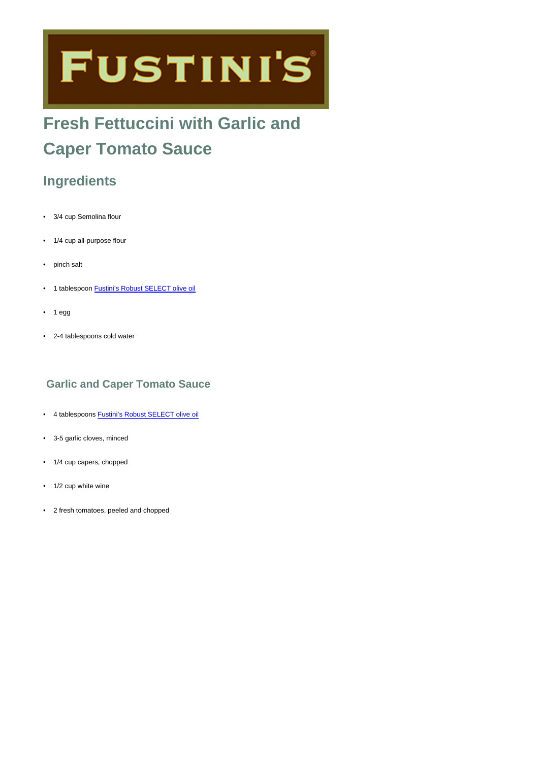# **FUSTINI'S**

# **Fresh Fettuccini with Garlic and Caper Tomato Sauce**

## **Ingredients**

- 3/4 cup Semolina flour
- 1/4 cup all-purpose flour
- pinch salt
- 1 tablespoon [Fustini's Robust SELECT olive oil](https://www.fustinis.com/order/category/oils/extra-virgin-olive-oils/robust_10/)
- $1 <sub>egg</sub>$
- 2-4 tablespoons cold water

#### **Garlic and Caper Tomato Sauce**

- 4 tablespoons [Fustini's Robust SELECT olive oil](https://www.fustinis.com/order/category/oils/extra-virgin-olive-oils/robust_10/)
- 3-5 garlic cloves, minced
- 1/4 cup capers, chopped
- 1/2 cup white wine
- 2 fresh tomatoes, peeled and chopped